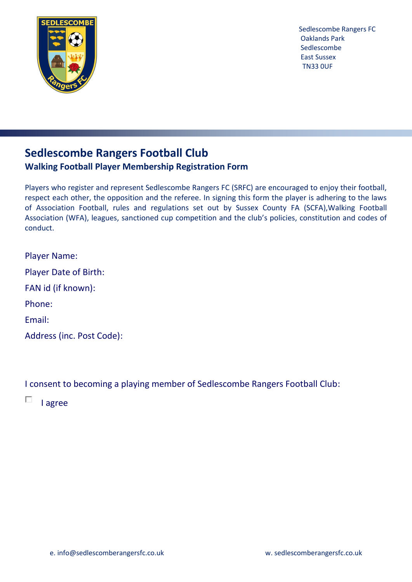

# **Sedlescombe Rangers Football Club Walking Football Player Membership Registration Form**

Players who register and represent Sedlescombe Rangers FC (SRFC) are encouraged to enjoy their football, respect each other, the opposition and the referee. In signing this form the player is adhering to the laws of Association Football, rules and regulations set out by Sussex County FA (SCFA),Walking Football Association (WFA), leagues, sanctioned cup competition and the club's policies, constitution and codes of conduct.

| <b>Player Name:</b>          |
|------------------------------|
| <b>Player Date of Birth:</b> |
| FAN id (if known):           |
| Phone:                       |
| Email:                       |
| Address (inc. Post Code):    |

I consent to becoming a playing member of Sedlescombe Rangers Football Club:

П I agree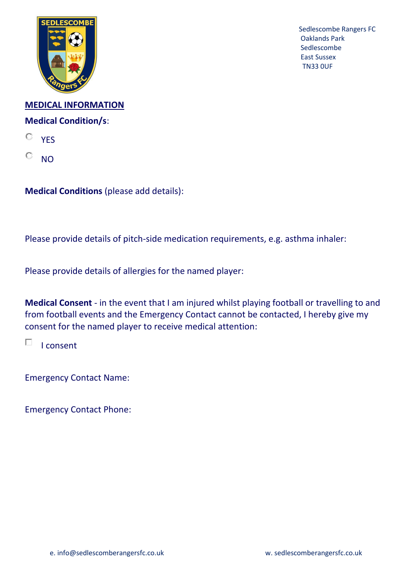

**MEDICAL INFORMATION Medical Condition/s**:

O **YFS** 

 $\circ$ NO

**Medical Conditions** (please add details):

Please provide details of pitch-side medication requirements, e.g. asthma inhaler:

Please provide details of allergies for the named player:

**Medical Consent** - in the event that I am injured whilst playing football or travelling to and from football events and the Emergency Contact cannot be contacted, I hereby give my consent for the named player to receive medical attention:

П I consent

Emergency Contact Name:

Emergency Contact Phone: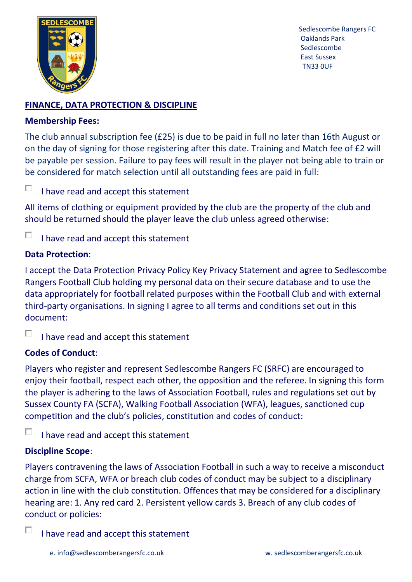

## **FINANCE, DATA PROTECTION & DISCIPLINE**

### **Membership Fees:**

The club annual subscription fee (£25) is due to be paid in full no later than 16th August or on the day of signing for those registering after this date. Training and Match fee of £2 will be payable per session. Failure to pay fees will result in the player not being able to train or be considered for match selection until all outstanding fees are paid in full:

П I have read and accept this statement

All items of clothing or equipment provided by the club are the property of the club and should be returned should the player leave the club unless agreed otherwise:

П I have read and accept this statement

## **Data Protection**:

I accept the Data Protection Privacy Policy Key Privacy Statement and agree to Sedlescombe Rangers Football Club holding my personal data on their secure database and to use the data appropriately for football related purposes within the Football Club and with external third-party organisations. In signing I agree to all terms and conditions set out in this document:

п I have read and accept this statement

## **Codes of Conduct**:

Players who register and represent Sedlescombe Rangers FC (SRFC) are encouraged to enjoy their football, respect each other, the opposition and the referee. In signing this form the player is adhering to the laws of Association Football, rules and regulations set out by Sussex County FA (SCFA), Walking Football Association (WFA), leagues, sanctioned cup competition and the club's policies, constitution and codes of conduct:

п I have read and accept this statement

## **Discipline Scope**:

Players contravening the laws of Association Football in such a way to receive a misconduct charge from SCFA, WFA or breach club codes of conduct may be subject to a disciplinary action in line with the club constitution. Offences that may be considered for a disciplinary hearing are: 1. Any red card 2. Persistent yellow cards 3. Breach of any club codes of conduct or policies:

П I have read and accept this statement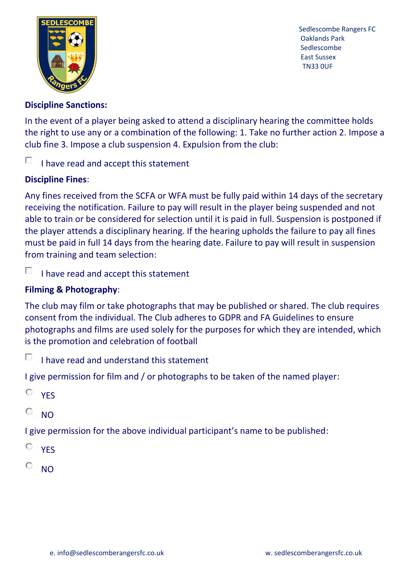

#### **Discipline Sanctions:**

In the event of a player being asked to attend a disciplinary hearing the committee holds the right to use any or a combination of the following: 1. Take no further action 2. Impose a club fine 3. Impose a club suspension 4. Expulsion from the club:

#### D. I have read and accept this statement

#### **Discipline Fines**:

Any fines received from the SCFA or WFA must be fully paid within 14 days of the secretary receiving the notification. Failure to pay will result in the player being suspended and not able to train or be considered for selection until it is paid in full. Suspension is postponed if the player attends a disciplinary hearing. If the hearing upholds the failure to pay all fines must be paid in full 14 days from the hearing date. Failure to pay will result in suspension from training and team selection:

П I have read and accept this statement

## **Filming & Photography**:

The club may film or take photographs that may be published or shared. The club requires consent from the individual. The Club adheres to GDPR and FA Guidelines to ensure photographs and films are used solely for the purposes for which they are intended, which is the promotion and celebration of football

П I have read and understand this statement

I give permission for film and / or photographs to be taken of the named player:

O **YFS** 

O  $N<sub>O</sub>$ 

I give permission for the above individual participant's name to be published:

- O **YFS**
- О NO